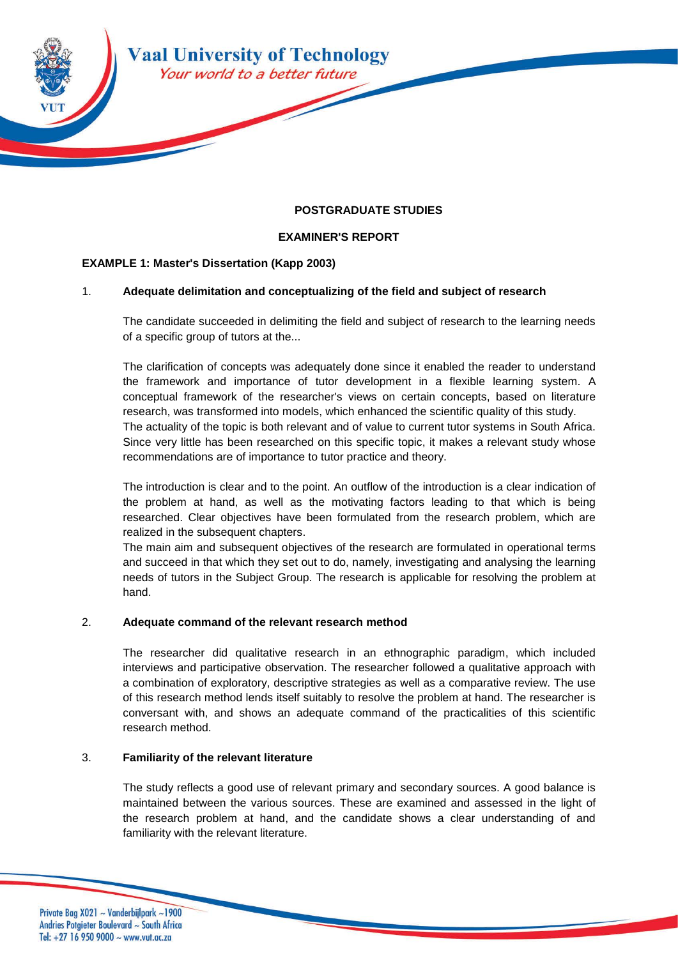

## **POSTGRADUATE STUDIES**

## **EXAMINER'S REPORT**

#### **EXAMPLE 1: Master's Dissertation (Kapp 2003)**

#### 1. **Adequate delimitation and conceptualizing of the field and subject of research**

The candidate succeeded in delimiting the field and subject of research to the learning needs of a specific group of tutors at the...

The clarification of concepts was adequately done since it enabled the reader to understand the framework and importance of tutor development in a flexible learning system. A conceptual framework of the researcher's views on certain concepts, based on literature research, was transformed into models, which enhanced the scientific quality of this study. The actuality of the topic is both relevant and of value to current tutor systems in South Africa. Since very little has been researched on this specific topic, it makes a relevant study whose recommendations are of importance to tutor practice and theory.

The introduction is clear and to the point. An outflow of the introduction is a clear indication of the problem at hand, as well as the motivating factors leading to that which is being researched. Clear objectives have been formulated from the research problem, which are realized in the subsequent chapters.

The main aim and subsequent objectives of the research are formulated in operational terms and succeed in that which they set out to do, namely, investigating and analysing the learning needs of tutors in the Subject Group. The research is applicable for resolving the problem at hand.

#### 2. **Adequate command of the relevant research method**

The researcher did qualitative research in an ethnographic paradigm, which included interviews and participative observation. The researcher followed a qualitative approach with a combination of exploratory, descriptive strategies as well as a comparative review. The use of this research method lends itself suitably to resolve the problem at hand. The researcher is conversant with, and shows an adequate command of the practicalities of this scientific research method.

#### 3. **Familiarity of the relevant literature**

The study reflects a good use of relevant primary and secondary sources. A good balance is maintained between the various sources. These are examined and assessed in the light of the research problem at hand, and the candidate shows a clear understanding of and familiarity with the relevant literature.

Private Bag X021 ~ Vanderbijlpark ~1900 Andries Potgieter Boulevard ~ South Africa Tel: +27 16 950 9000  $\sim$  www.vut.ac.za